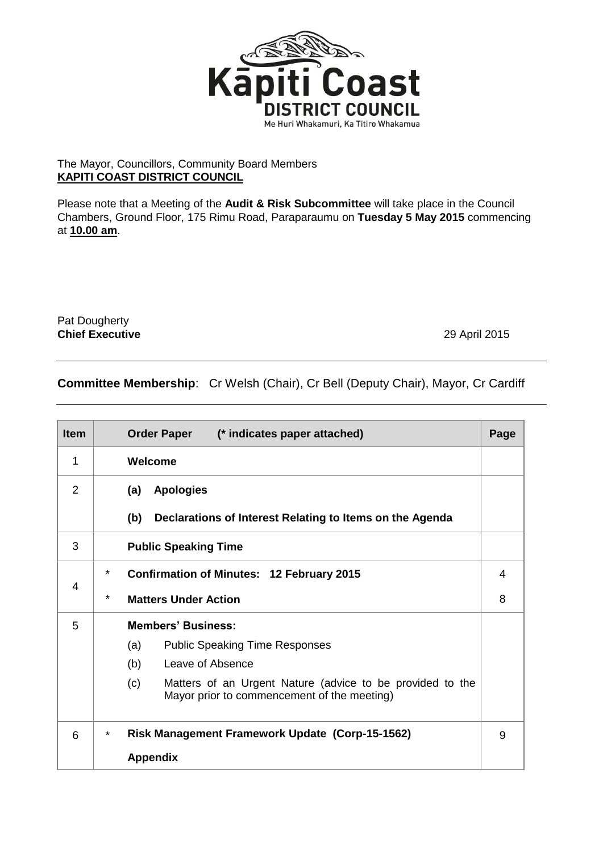

## The Mayor, Councillors, Community Board Members **KAPITI COAST DISTRICT COUNCIL**

Please note that a Meeting of the **Audit & Risk Subcommittee** will take place in the Council Chambers, Ground Floor, 175 Rimu Road, Paraparaumu on **Tuesday 5 May 2015** commencing at **10.00 am**.

Pat Dougherty **Chief Executive** 29 April 2015

## **Committee Membership**: Cr Welsh (Chair), Cr Bell (Deputy Chair), Mayor, Cr Cardiff

| <b>Item</b> | Order Paper (* indicates paper attached)                                                                        | Page |  |
|-------------|-----------------------------------------------------------------------------------------------------------------|------|--|
| 1           | Welcome                                                                                                         |      |  |
| 2           | <b>Apologies</b><br>(a)                                                                                         |      |  |
|             | (b)<br>Declarations of Interest Relating to Items on the Agenda                                                 |      |  |
| 3           | <b>Public Speaking Time</b>                                                                                     |      |  |
| 4           | *<br><b>Confirmation of Minutes: 12 February 2015</b>                                                           | 4    |  |
|             | *<br><b>Matters Under Action</b>                                                                                | 8    |  |
| 5           | <b>Members' Business:</b>                                                                                       |      |  |
|             | (a)<br><b>Public Speaking Time Responses</b>                                                                    |      |  |
|             | (b)<br>Leave of Absence                                                                                         |      |  |
|             | Matters of an Urgent Nature (advice to be provided to the<br>(c)<br>Mayor prior to commencement of the meeting) |      |  |
| 6           | <b>Risk Management Framework Update (Corp-15-1562)</b><br>$\star$                                               |      |  |
|             | <b>Appendix</b>                                                                                                 |      |  |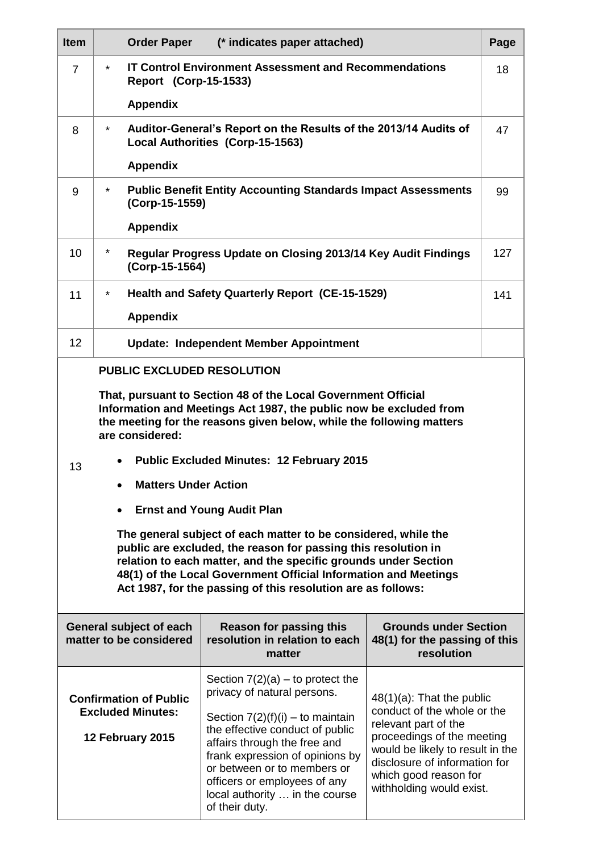| <b>Item</b>                                                                                                                                                   | <b>Order Paper</b>                                                                                                    | (* indicates paper attached)                                                                                                                                                                                          |                                                                                                                                                                              | Page |  |  |  |
|---------------------------------------------------------------------------------------------------------------------------------------------------------------|-----------------------------------------------------------------------------------------------------------------------|-----------------------------------------------------------------------------------------------------------------------------------------------------------------------------------------------------------------------|------------------------------------------------------------------------------------------------------------------------------------------------------------------------------|------|--|--|--|
| $\overline{7}$                                                                                                                                                | $\star$<br><b>IT Control Environment Assessment and Recommendations</b><br>18<br>Report (Corp-15-1533)                |                                                                                                                                                                                                                       |                                                                                                                                                                              |      |  |  |  |
|                                                                                                                                                               | <b>Appendix</b>                                                                                                       |                                                                                                                                                                                                                       |                                                                                                                                                                              |      |  |  |  |
| 8                                                                                                                                                             | Auditor-General's Report on the Results of the 2013/14 Audits of<br>$\star$<br>47<br>Local Authorities (Corp-15-1563) |                                                                                                                                                                                                                       |                                                                                                                                                                              |      |  |  |  |
|                                                                                                                                                               | <b>Appendix</b>                                                                                                       |                                                                                                                                                                                                                       |                                                                                                                                                                              |      |  |  |  |
| 9                                                                                                                                                             | <b>Public Benefit Entity Accounting Standards Impact Assessments</b><br>$\star$<br>99<br>(Corp-15-1559)               |                                                                                                                                                                                                                       |                                                                                                                                                                              |      |  |  |  |
|                                                                                                                                                               | <b>Appendix</b>                                                                                                       |                                                                                                                                                                                                                       |                                                                                                                                                                              |      |  |  |  |
| 10                                                                                                                                                            | $^\star$<br>127<br>Regular Progress Update on Closing 2013/14 Key Audit Findings<br>(Corp-15-1564)                    |                                                                                                                                                                                                                       |                                                                                                                                                                              |      |  |  |  |
| 11                                                                                                                                                            | <b>Health and Safety Quarterly Report (CE-15-1529)</b><br>$\star$<br>141                                              |                                                                                                                                                                                                                       |                                                                                                                                                                              |      |  |  |  |
|                                                                                                                                                               | <b>Appendix</b>                                                                                                       |                                                                                                                                                                                                                       |                                                                                                                                                                              |      |  |  |  |
| 12                                                                                                                                                            | <b>Update: Independent Member Appointment</b>                                                                         |                                                                                                                                                                                                                       |                                                                                                                                                                              |      |  |  |  |
|                                                                                                                                                               | <b>PUBLIC EXCLUDED RESOLUTION</b>                                                                                     |                                                                                                                                                                                                                       |                                                                                                                                                                              |      |  |  |  |
|                                                                                                                                                               |                                                                                                                       | That, pursuant to Section 48 of the Local Government Official                                                                                                                                                         |                                                                                                                                                                              |      |  |  |  |
| Information and Meetings Act 1987, the public now be excluded from<br>the meeting for the reasons given below, while the following matters<br>are considered: |                                                                                                                       |                                                                                                                                                                                                                       |                                                                                                                                                                              |      |  |  |  |
|                                                                                                                                                               | <b>Public Excluded Minutes: 12 February 2015</b>                                                                      |                                                                                                                                                                                                                       |                                                                                                                                                                              |      |  |  |  |
|                                                                                                                                                               | 13<br><b>Matters Under Action</b>                                                                                     |                                                                                                                                                                                                                       |                                                                                                                                                                              |      |  |  |  |
|                                                                                                                                                               |                                                                                                                       |                                                                                                                                                                                                                       |                                                                                                                                                                              |      |  |  |  |
|                                                                                                                                                               |                                                                                                                       | <b>Ernst and Young Audit Plan</b>                                                                                                                                                                                     |                                                                                                                                                                              |      |  |  |  |
| The general subject of each matter to be considered, while the<br>public are excluded, the reason for passing this resolution in                              |                                                                                                                       |                                                                                                                                                                                                                       |                                                                                                                                                                              |      |  |  |  |
|                                                                                                                                                               |                                                                                                                       | relation to each matter, and the specific grounds under Section                                                                                                                                                       |                                                                                                                                                                              |      |  |  |  |
| 48(1) of the Local Government Official Information and Meetings<br>Act 1987, for the passing of this resolution are as follows:                               |                                                                                                                       |                                                                                                                                                                                                                       |                                                                                                                                                                              |      |  |  |  |
|                                                                                                                                                               |                                                                                                                       |                                                                                                                                                                                                                       |                                                                                                                                                                              |      |  |  |  |
| General subject of each<br>matter to be considered                                                                                                            |                                                                                                                       | <b>Reason for passing this</b><br>resolution in relation to each<br>matter                                                                                                                                            | <b>Grounds under Section</b><br>48(1) for the passing of this<br>resolution                                                                                                  |      |  |  |  |
| <b>Confirmation of Public</b><br><b>Excluded Minutes:</b>                                                                                                     |                                                                                                                       | Section $7(2)(a)$ – to protect the<br>privacy of natural persons.                                                                                                                                                     | $48(1)(a)$ : That the public                                                                                                                                                 |      |  |  |  |
|                                                                                                                                                               |                                                                                                                       | Section $7(2)(f)(i) -$ to maintain                                                                                                                                                                                    | conduct of the whole or the                                                                                                                                                  |      |  |  |  |
| 12 February 2015                                                                                                                                              |                                                                                                                       | the effective conduct of public<br>affairs through the free and<br>frank expression of opinions by<br>or between or to members or<br>officers or employees of any<br>local authority  in the course<br>of their duty. | relevant part of the<br>proceedings of the meeting<br>would be likely to result in the<br>disclosure of information for<br>which good reason for<br>withholding would exist. |      |  |  |  |